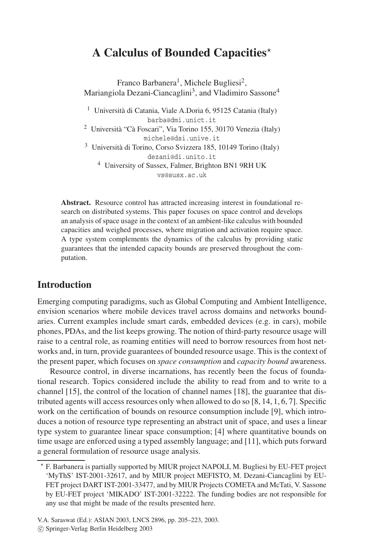# **A Calculus of Bounded Capacities**

Franco Barbanera<sup>1</sup>, Michele Bugliesi<sup>2</sup>, Mariangiola Dezani-Ciancaglini<sup>3</sup>, and Vladimiro Sassone<sup>4</sup>

<sup>1</sup> Università di Catania, Viale A.Doria 6, 95125 Catania (Italy) barba@dmi.unict.it

<sup>2</sup> Università "Cà Foscari", Via Torino 155, 30170 Venezia (Italy) michele@dsi.unive.it

<sup>3</sup> Università di Torino, Corso Svizzera 185, 10149 Torino (Italy) dezani@di.unito.it <sup>4</sup> University of Sussex, Falmer, Brighton BN1 9RH UK

vs@susx.ac.uk

**Abstract.** Resource control has attracted increasing interest in foundational research on distributed systems. This paper focuses on space control and develops an analysis of space usage in the context of an ambient-like calculus with bounded capacities and weighed processes, where migration and activation require space. A type system complements the dynamics of the calculus by providing static guarantees that the intended capacity bounds are preserved throughout the computation.

### **Introduction**

Emerging computing paradigms, such as Global Computing and Ambient Intelligence, envision scenarios where mobile devices travel across domains and networks boundaries. Current examples include smart cards, embedded devices (e.g. in cars), mobile phones, PDAs, and the list keeps growing. The notion of third-party resource usage will raise to a central role, as roaming entities will need to borrow resources from host networks and, in turn, provide guarantees of bounded resource usage. This is the context of the present paper, which focuses on *space consumption* and *capacity bound* awareness.

Resource control, in diverse incarnations, has recently been the focus of foundational research. Topics considered include the ability to read from and to write to a channel [15], the control of the location of channel names [18], the guarantee that distributed agents will access resources only when allowed to do so [8, 14, 1, 6, 7]. Specific work on the certification of bounds on resource consumption include [9], which introduces a notion of resource type representing an abstract unit of space, and uses a linear type system to guarantee linear space consumption; [4] where quantitative bounds on time usage are enforced using a typed assembly language; and [11], which puts forward a general formulation of resource usage analysis.

F. Barbanera is partially supported by MIUR project NAPOLI, M. Bugliesi by EU-FET project 'MyThS' IST-2001-32617, and by MIUR project MEFISTO, M. Dezani-Ciancaglini by EU-FET project DART IST-2001-33477, and by MIUR Projects COMETA and McTati, V. Sassone by EU-FET project 'MIKADO' IST-2001-32222. The funding bodies are not responsible for any use that might be made of the results presented here.

V.A. Saraswat (Ed.): ASIAN 2003, LNCS 2896, pp. 205–223, 2003. c Springer-Verlag Berlin Heidelberg 2003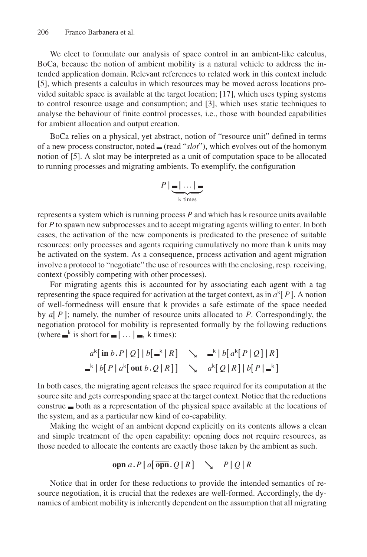We elect to formulate our analysis of space control in an ambient-like calculus, BoCa, because the notion of ambient mobility is a natural vehicle to address the intended application domain. Relevant references to related work in this context include [5], which presents a calculus in which resources may be moved across locations provided suitable space is available at the target location; [17], which uses typing systems to control resource usage and consumption; and [3], which uses static techniques to analyse the behaviour of finite control processes, i.e., those with bounded capabilities for ambient allocation and output creation.

BoCa relies on a physical, yet abstract, notion of "resource unit" defined in terms of a new process constructor, noted  $=$  (read "*slot*"), which evolves out of the homonym notion of [5]. A slot may be interpreted as a unit of computation space to be allocated to running processes and migrating ambients. To exemplify, the configuration

$$
P\mid \underbrace{\blacksquare|\ldots|\blacksquare}_{\text{k times}}
$$

represents a system which is running process *P* and which has k resource units available for *P* to spawn new subprocesses and to accept migrating agents willing to enter. In both cases, the activation of the new components is predicated to the presence of suitable resources: only processes and agents requiring cumulatively no more than k units may be activated on the system. As a consequence, process activation and agent migration involve a protocol to "negotiate" the use of resources with the enclosing, resp. receiving, context (possibly competing with other processes).

For migrating agents this is accounted for by associating each agent with a tag representing the space required for activation at the target context, as in  $a^k[P]$ . A notion of well-formedness will ensure that k provides a safe estimate of the space needed by *a*[ *P* ]; namely, the number of resource units allocated to *P*. Correspondingly, the negotiation protocol for mobility is represented formally by the following reductions (where  $\mathbf{I}^k$  is short for  $\mathbf{I} | \dots | \mathbf{I} |$ , k times):

$$
a^{k}[\ln b.P|Q]|b[-k|R] \searrow -k|b[a^{k}[P|Q]|R]
$$
  
\n
$$
-k|b[P|a^{k}[\text{out } b.Q|R]] \searrow a^{k}[Q|R]|b[P]-k]
$$

In both cases, the migrating agent releases the space required for its computation at the source site and gets corresponding space at the target context. Notice that the reductions construe  $\equiv$  both as a representation of the physical space available at the locations of the system, and as a particular new kind of co-capability.

Making the weight of an ambient depend explicitly on its contents allows a clean and simple treatment of the open capability: opening does not require resources, as those needed to allocate the contents are exactly those taken by the ambient as such.

$$
opn a. P | a[ $\overline{opn}.Q | R$ ]  $\searrow$  P | Q | R
$$

Notice that in order for these reductions to provide the intended semantics of resource negotiation, it is crucial that the redexes are well-formed. Accordingly, the dynamics of ambient mobility is inherently dependent on the assumption that all migrating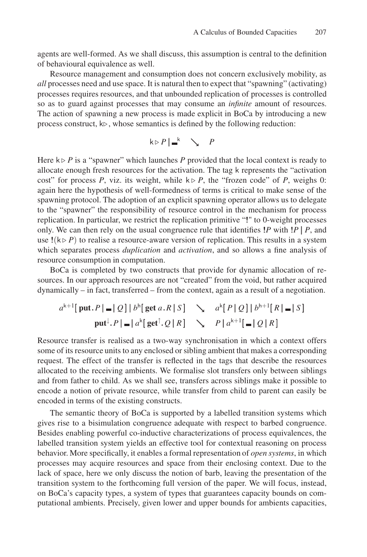agents are well-formed. As we shall discuss, this assumption is central to the definition of behavioural equivalence as well.

Resource management and consumption does not concern exclusively mobility, as *all* processes need and use space. It is natural then to expect that "spawning" (activating) processes requires resources, and that unbounded replication of processes is controlled so as to guard against processes that may consume an *infinite* amount of resources. The action of spawning a new process is made explicit in BoCa by introducing a new process construct,  $k$ , whose semantics is defined by the following reduction:

$$
k \triangleright P \mid \blacksquare^k \quad \searrow \quad P
$$

Here  $k \triangleright P$  is a "spawner" which launches P provided that the local context is ready to allocate enough fresh resources for the activation. The tag k represents the "activation cost" for process *P*, viz. its weight, while  $k \triangleright P$ , the "frozen code" of *P*, weighs 0: again here the hypothesis of well-formedness of terms is critical to make sense of the spawning protocol. The adoption of an explicit spawning operator allows us to delegate to the "spawner" the responsibility of resource control in the mechanism for process replication. In particular, we restrict the replication primitive "!" to 0-weight processes only. We can then rely on the usual congruence rule that identifies  $P$  with  $P$  |  $P$ , and use  $!(k \triangleright P)$  to realise a resource-aware version of replication. This results in a system which separates process *duplication* and *activation*, and so allows a fine analysis of resource consumption in computation.

BoCa is completed by two constructs that provide for dynamic allocation of resources. In our approach resources are not "created" from the void, but rather acquired dynamically – in fact, transferred – from the context, again as a result of a negotiation.

$$
a^{k+1}[\text{put.} P \mid \text{=} | Q] | b^{h}[\text{get } a.R | S] \searrow a^{k} [P | Q] | b^{h+1} [R | \text{=} | S]
$$
  
put<sup>1</sup> \cdot P \mid \text{=} | a^{k}[\text{get} \cdot Q | R] \searrow P | a^{k+1} [\text{=} | Q | R]

Resource transfer is realised as a two-way synchronisation in which a context offers some of its resource units to any enclosed or sibling ambient that makes a corresponding request. The effect of the transfer is reflected in the tags that describe the resources allocated to the receiving ambients. We formalise slot transfers only between siblings and from father to child. As we shall see, transfers across siblings make it possible to encode a notion of private resource, while transfer from child to parent can easily be encoded in terms of the existing constructs.

The semantic theory of BoCa is supported by a labelled transition systems which gives rise to a bisimulation congruence adequate with respect to barbed congruence. Besides enabling powerful co-inductive characterizations of process equivalences, the labelled transition system yields an effective tool for contextual reasoning on process behavior. More specifically, it enables a formal representation of *open systems*, in which processes may acquire resources and space from their enclosing context. Due to the lack of space, here we only discuss the notion of barb, leaving the presentation of the transition system to the forthcoming full version of the paper. We will focus, instead, on BoCa's capacity types, a system of types that guarantees capacity bounds on computational ambients. Precisely, given lower and upper bounds for ambients capacities,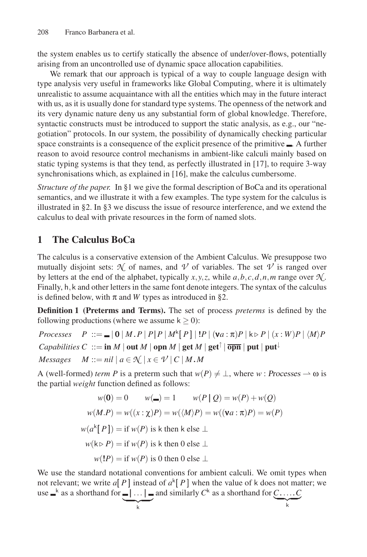the system enables us to certify statically the absence of under/over-flows, potentially arising from an uncontrolled use of dynamic space allocation capabilities.

We remark that our approach is typical of a way to couple language design with type analysis very useful in frameworks like Global Computing, where it is ultimately unrealistic to assume acquaintance with all the entities which may in the future interact with us, as it is usually done for standard type systems. The openness of the network and its very dynamic nature deny us any substantial form of global knowledge. Therefore, syntactic constructs must be introduced to support the static analysis, as e.g., our "negotiation" protocols. In our system, the possibility of dynamically checking particular space constraints is a consequence of the explicit presence of the primitive ... A further reason to avoid resource control mechanisms in ambient-like calculi mainly based on static typing systems is that they tend, as perfectly illustrated in [17], to require 3-way synchronisations which, as explained in [16], make the calculus cumbersome.

*Structure of the paper.* In §1 we give the formal description of BoCa and its operational semantics, and we illustrate it with a few examples. The type system for the calculus is illustrated in §2. In §3 we discuss the issue of resource interference, and we extend the calculus to deal with private resources in the form of named slots.

## **1 The Calculus BoCa**

The calculus is a conservative extension of the Ambient Calculus. We presuppose two mutually disjoint sets:  $\mathcal{N}$  of names, and  $\mathcal{V}$  of variables. The set  $\mathcal{V}$  is ranged over by letters at the end of the alphabet, typically  $x, y, z$ , while  $a, b, c, d, n, m$  range over  $\mathcal{N}$ . Finally, h,k and other letters in the same font denote integers. The syntax of the calculus is defined below, with  $\pi$  and *W* types as introduced in §2.

**Definition 1 (Preterms and Terms).** The set of process *preterms* is defined by the following productions (where we assume  $k \geq 0$ ):

 $P$ *rocesses*  $P ::= \blacksquare | 0 | M.P | P | P | M^k [ P ] | P | ( \mathbf{V}a : \pi ) P | k \triangleright P | (x : W) P | \langle M \rangle P$ *Capabilities C* ::= **in** *M* | **out** *M* | **opn** *M* | **get** *M* | **get**<sup> $\uparrow$ </sup> |  $\overline{opn}$  |  $\overline{p}$  **put** |  $\overline{p}$ **ut**<sup> $\downarrow$ </sup> *Messages*  $M ::= nil | a \in \mathcal{N} | x \in \mathcal{V} | C | M.M$ 

A (well-formed) *term P* is a preterm such that  $w(P) \neq \bot$ , where *w* : Processes  $\rightarrow \omega$  is the partial *weight* function defined as follows:

$$
w(\mathbf{0}) = 0 \qquad w(\mathbf{I}) = 1 \qquad w(P | Q) = w(P) + w(Q)
$$

$$
w(M.P) = w((x : \chi)P) = w(\langle M \rangle P) = w((\mathbf{v}a : \pi)P) = w(P)
$$

$$
w(a^k[P]) = \text{if } w(P) \text{ is } k \text{ then } k \text{ else } \bot
$$

$$
w(k \triangleright P) = \text{if } w(P) \text{ is } k \text{ then } 0 \text{ else } \bot
$$

$$
w(IP) = \text{if } w(P) \text{ is } 0 \text{ then } 0 \text{ else } \bot
$$

We use the standard notational conventions for ambient calculi. We omit types when not relevant; we write  $a[P]$  instead of  $a^k[P]$  when the value of k does not matter; we use  $\bullet^k$  as a shorthand for  $\underbrace{\cdot \cdot \cdot \cdot \cdot}_{\bullet}$  and similarly *C*<sup>k</sup> as a shorthand for *C*.....*C* 

$$
\frac{k}{k}
$$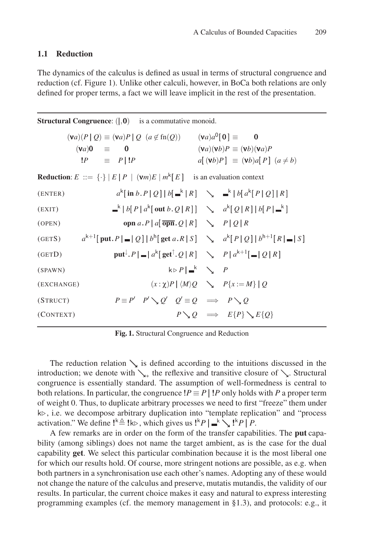#### **1.1 Reduction**

The dynamics of the calculus is defined as usual in terms of structural congruence and reduction (cf. Figure 1). Unlike other calculi, however, in BoCa both relations are only defined for proper terms, a fact we will leave implicit in the rest of the presentation.

**Structural Congruence:** ( $|,0\rangle$  is a commutative monoid.  $(\mathbf{v}a)(P \mid Q) \equiv (\mathbf{v}a)P \mid Q \ \ (a \notin \text{fn}(Q))$   $(\mathbf{v}a)a^0[\mathbf{0}] \equiv \mathbf{0}$  $(\mathbf{v}a)\mathbf{0} \equiv \mathbf{0}$   $(\mathbf{v}a)(\mathbf{v}b)P \equiv (\mathbf{v}b)(\mathbf{v}a)P$  $\mathbb{I}P = P | \mathbb{I}P$   $a \in (b)P | \equiv (b) a P | (a \neq b)$ **Reduction:**  $E := \{\cdot\} | E | P | (\mathbf{v} m) E | m^k | E$  is an evaluation context  $a^k[\ln b \cdot P \mid Q] | b[-k| R] \longrightarrow k | b[a^k [P \mid Q] | R]$  $\left( \begin{array}{cc} \text{EXIT} \end{array} \right)$   $\left[ h \left[ P \left[ a^k \left[ \text{out } b \right] Q \left| R \right] \right] \right] \longrightarrow a^k \left[ Q \left| R \right] \left[ b \left[ P \left| \right] \right] \right]$ (OPEN) **opn**  $a \cdot P | a[\overline{\text{opn}} \cdot Q | R] \searrow P | Q | R$  $a^{k+1}$ [ put. *P* | \_| Q ] |  $b^h$ [ get  $a \cdot R$  | S]  $\qquad$   $a^k$ [ *P* | Q ] |  $b^{h+1}$ [  $R$  | \_| S] (GETD)  $\mathbf{p} \mathbf{u} \mathbf{t}^{\downarrow} \cdot P \mathbf{I} = \mathbf{a}^{\mathsf{k}} [\mathbf{g} \mathbf{e} \mathbf{t}^{\uparrow} \cdot Q \mathbf{R}] \quad \searrow \quad P \mathbf{a}^{\mathsf{k+1}} \mathbf{I} = \mathbf{Q} \mathbf{R}$ (SPAWN)  $k \triangleright P \begin{array}{c} k \\ k \end{array}$  *P* (EXCHANGE)  $(x:\chi)P \mid \langle M \rangle Q \quad \searrow \quad P\{x := M\} \mid Q$  $P \equiv P'$   $P' \searrow Q'$   $Q' \equiv Q \implies P \searrow Q$  $(CONTEXT)$  $\searrow$ *Q*  $\implies$   $E\{P\}\searrow$   $E\{Q\}$ 

**Fig. 1.** Structural Congruence and Reduction

The reduction relation  $\setminus$  is defined according to the intuitions discussed in the introduction; we denote with  $\searrow$  the reflexive and transitive closure of  $\searrow$ . Structural congruence is essentially standard. The assumption of well-formedness is central to both relations. In particular, the congruence  $!P \equiv P | !P$  only holds with *P* a proper term of weight 0. Thus, to duplicate arbitrary processes we need to first "freeze" them under k $\triangleright$ , i.e. we decompose arbitrary duplication into "template replication" and "process activation." We define  $!^k \triangleq !k \triangleright$ , which gives us  $!^k P \cdot | \cdot \cdot \cdot |^k P \cdot |^p P$ .

A few remarks are in order on the form of the transfer capabilities. The **put** capability (among siblings) does not name the target ambient, as is the case for the dual capability **get**. We select this particular combination because it is the most liberal one for which our results hold. Of course, more stringent notions are possible, as e.g. when both partners in a synchronisation use each other's names. Adopting any of these would not change the nature of the calculus and preserve, mutatis mutandis, the validity of our results. In particular, the current choice makes it easy and natural to express interesting programming examples (cf. the memory management in §1.3), and protocols: e.g., it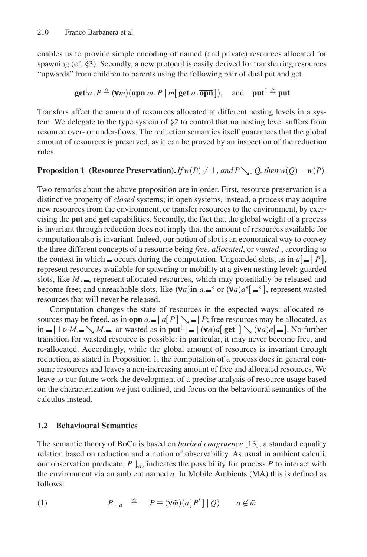enables us to provide simple encoding of named (and private) resources allocated for spawning (cf. §3). Secondly, a new protocol is easily derived for transferring resources "upwards" from children to parents using the following pair of dual put and get.

$$
\text{get}^{\downarrow}a \cdot P \triangleq (\text{v}m)(\text{opn } m \cdot P \mid m[\text{ get } a \cdot \overline{\text{opn}}]), \text{ and } \text{put}^{\uparrow} \triangleq \text{put}
$$

Transfers affect the amount of resources allocated at different nesting levels in a system. We delegate to the type system of §2 to control that no nesting level suffers from resource over- or under-flows. The reduction semantics itself guarantees that the global amount of resources is preserved, as it can be proved by an inspection of the reduction rules.

## **Proposition 1** (Resource Preservation). *If*  $w(P) \neq \bot$ , and  $P \searrow_* Q$ , then  $w(Q) = w(P)$ .

Two remarks about the above proposition are in order. First, resource preservation is a distinctive property of *closed* systems; in open systems, instead, a process may acquire new resources from the environment, or transfer resources to the environment, by exercising the **put** and **get** capabilities. Secondly, the fact that the global weight of a process is invariant through reduction does not imply that the amount of resources available for computation also is invariant. Indeed, our notion of slot is an economical way to convey the three different concepts of a resource being *free*, *allocated*, or *wasted* , according to the context in which so occurs during the computation. Unguarded slots, as in  $a = |P|$ , represent resources available for spawning or mobility at a given nesting level; guarded slots, like  $M$ .  $\blacksquare$ , represent allocated resources, which may potentially be released and become free; and unreachable slots, like  $(\mathbf{v}a)$  in  $a = \mathbf{k}$  or  $(\mathbf{v}a)a^k[\cdot]$ , represent wasted resources that will never be released.

Computation changes the state of resources in the expected ways: allocated resources may be freed, as in **opn**  $a = |a[P] \setminus P$ ; free resources may be allocated, as in  $=$   $| 1 \triangleright M = \searrow M =$ , or wasted as in **put**<sup> $\downarrow$ </sup>  $| = | (va)a[ get^{\dagger}] \searrow (va)a[ = ]$ . No further transition for wasted resource is possible: in particular, it may never become free, and re-allocated. Accordingly, while the global amount of resources is invariant through reduction, as stated in Proposition 1, the computation of a process does in general consume resources and leaves a non-increasing amount of free and allocated resources. We leave to our future work the development of a precise analysis of resource usage based on the characterization we just outlined, and focus on the behavioural semantics of the calculus instead.

### **1.2 Behavioural Semantics**

The semantic theory of BoCa is based on *barbed congruence* [13], a standard equality relation based on reduction and a notion of observability. As usual in ambient calculi, our observation predicate,  $P \downarrow_a$ , indicates the possibility for process P to interact with the environment via an ambient named *a*. In Mobile Ambients (MA) this is defined as follows:

(1) 
$$
P \downarrow_a \triangleq P \equiv (\nu \tilde{m})(a[P'] | Q) \qquad a \notin \tilde{m}
$$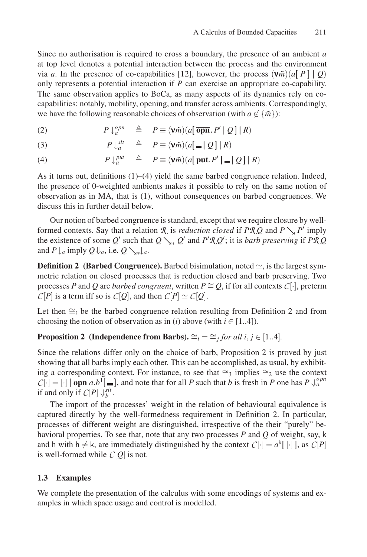Since no authorisation is required to cross a boundary, the presence of an ambient *a* at top level denotes a potential interaction between the process and the environment via *a*. In the presence of co-capabilities [12], however, the process  $(v\tilde{m})(a[P \mid Q)$ only represents a potential interaction if *P* can exercise an appropriate co-capability. The same observation applies to BoCa, as many aspects of its dynamics rely on cocapabilities: notably, mobility, opening, and transfer across ambients. Correspondingly, we have the following reasonable choices of observation (with  $a \notin {\{\tilde{m}\}}$ ):

(2)  $P \downarrow_a^{opn} \triangleq P \equiv (\mathbf{v} \tilde{m}) (a[\overline{\mathbf{opn}}. P' | Q] | R)$ 

(3) 
$$
P \downarrow_a^{slt} \triangleq P \equiv (\mathbf{V} \tilde{m})(a \mathbf{I} - |\mathcal{Q}| | R)
$$

(4) 
$$
P \downarrow_a^{put} \triangleq P \equiv (\mathbf{v} \tilde{m}) (a[\mathbf{put}.P' | - | Q] | R)
$$

As it turns out, definitions (1)–(4) yield the same barbed congruence relation. Indeed, the presence of 0-weighted ambients makes it possible to rely on the same notion of observation as in MA, that is (1), without consequences on barbed congruences. We discuss this in further detail below.

Our notion of barbed congruence is standard, except that we require closure by wellformed contexts. Say that a relation  $\mathcal{R}$  is *reduction closed* if  $P \mathcal{R} Q$  and  $P \setminus P'$  imply the existence of some  $Q'$  such that  $Q \searrow_* Q'$  and  $P'RQ'$ ; it is *barb preserving* if  $PRQ$ and  $P \downarrow_a$  imply  $Q \Downarrow_a$ , i.e.  $Q \searrow \downarrow_a$ .

**Definition 2 (Barbed Congruence).** Barbed bisimulation, noted  $\simeq$ , is the largest symmetric relation on closed processes that is reduction closed and barb preserving. Two processes *P* and *Q* are *barbed congruent*, written  $P \cong Q$ , if for all contexts  $C[\cdot]$ , preterm  $C[P]$  is a term iff so is  $C[Q]$ , and then  $C[P] \simeq C[Q]$ .

Let then ≅*i* be the barbed congruence relation resulting from Definition 2 and from choosing the notion of observation as in (*i*) above (with  $i \in [1..4]$ ).

### **Proposition 2** (Independence from Barbs).  $\cong_i = \cong_j$  *for all i*, *j* ∈ [1..4]*.*

Since the relations differ only on the choice of barb, Proposition 2 is proved by just showing that all barbs imply each other. This can be accomplished, as usual, by exhibiting a corresponding context. For instance, to see that  $\cong_3$  implies  $\cong_2$  use the context  $C[\cdot] = [\cdot] |$  **opn**  $a.b^{\text{th}}[$ . and note that for all *P* such that *b* is fresh in *P* one has  $P \Downarrow_{a}^{opp}$ if and only if  $C[P] \Downarrow_b^{slt}$ .

The import of the processes' weight in the relation of behavioural equivalence is captured directly by the well-formedness requirement in Definition 2. In particular, processes of different weight are distinguished, irrespective of the their "purely" behavioral properties. To see that, note that any two processes *P* and *Q* of weight, say, k and h with  $h \neq k$ , are immediately distinguished by the context  $C[\cdot] = a^k[[\cdot]]$ , as  $C[P]$ is well-formed while  $C[Q]$  is not.

### **1.3 Examples**

We complete the presentation of the calculus with some encodings of systems and examples in which space usage and control is modelled.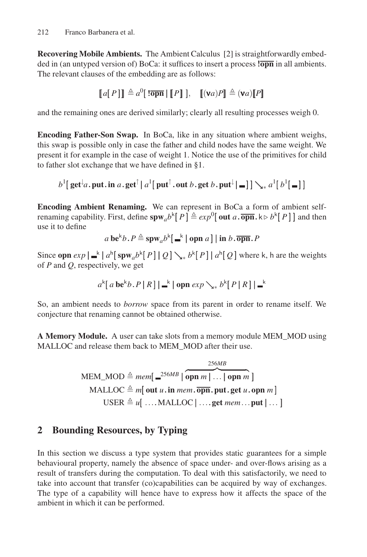**Recovering Mobile Ambients.** The Ambient Calculus [2] is straightforwardly embedded in (an untyped version of) BoCa: it suffices to insert a process !**opn** in all ambients. The relevant clauses of the embedding are as follows:

$$
\llbracket a[P] \rrbracket \triangleq a^0 \llbracket \overline{\textbf{open}} \rrbracket \llbracket P \rrbracket \rrbracket, \quad \llbracket (\textbf{v}a)P \rrbracket \triangleq (\textbf{v}a) \llbracket P \rrbracket
$$

and the remaining ones are derived similarly; clearly all resulting processes weigh 0.

**Encoding Father-Son Swap.** In BoCa, like in any situation where ambient weighs, this swap is possible only in case the father and child nodes have the same weight. We present it for example in the case of weight 1. Notice the use of the primitives for child to father slot exchange that we have defined in §1.

 $b^1[$  get<sup> $\downarrow$ </sup>a. put. in a. get<sup>†</sup> | a<sup>1</sup> $[$  put<sup>†</sup> . out *b*. get *b*. put<sup> $\downarrow$ </sup> | \_]  $] \searrow_*$  a<sup>1</sup> $[$   $b^1[$  \_]  $]$ 

**Encoding Ambient Renaming.** We can represent in BoCa a form of ambient selfrenaming capability. First, define  $\text{spw}_a b^k[P] \triangleq exp^0[\text{ out } a.\overline{\text{opn}}. k \triangleright b^k[P]]$  and then use it to define

 $a$  **be**<sup>k</sup> $b$ .  $P \triangleq$  **spw**<sub>*a*</sub> $b$ <sup>k</sup> $\left[ \begin{array}{c} \infty \\ \infty \end{array} \right]$  | **in**  $b$ .  $\overline{\text{opn}}$ .  $P$ 

Since **opn**  $exp \left[ -k \right] a^h \left[ s p w_a b^k [P] |Q \right] \searrow_b b^k [P] |a^h [Q]$  where k, h are the weights of *P* and *Q*, respectively, we get

$$
a^{k}[a\mathbf{be}^{k}b.P|R]| \perp^{k} |\mathbf{opn} \exp \searrow_* b^{k}[P|R]| \perp^{k}
$$

So, an ambient needs to *borrow* space from its parent in order to rename itself. We conjecture that renaming cannot be obtained otherwise.

**A Memory Module.** A user can take slots from a memory module MEM\_MOD using MALLOC and release them back to MEM\_MOD after their use.

$$
\text{MEM\_MOD} \triangleq \text{mem}[\text{--}^{256MB} | \overbrace{\text{opn } m | \dots | \text{opn } m}^{256MB}]
$$
\n
$$
\text{MALLOC} \triangleq m[\text{out } u.\text{in } \text{mem}.\overline{\text{opn}}.\text{put}.\text{get } u.\text{opn } m]
$$
\n
$$
\text{USER} \triangleq u[\dots] \text{MALLOC} | \dots \text{get } \text{mem}.\text{put } | \dots]
$$

# **2 Bounding Resources, by Typing**

In this section we discuss a type system that provides static guarantees for a simple behavioural property, namely the absence of space under- and over-flows arising as a result of transfers during the computation. To deal with this satisfactorily, we need to take into account that transfer (co)capabilities can be acquired by way of exchanges. The type of a capability will hence have to express how it affects the space of the ambient in which it can be performed.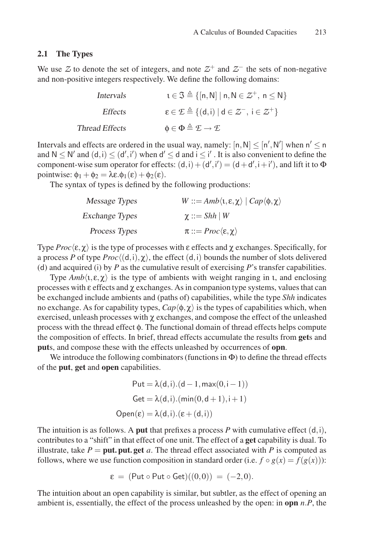#### **2.1 The Types**

We use  $\mathcal Z$  to denote the set of integers, and note  $\mathcal Z^+$  and  $\mathcal Z^-$  the sets of non-negative and non-positive integers respectively. We define the following domains:

| Intervals             | $t \in \mathcal{S} \triangleq \{ [n, N] \mid n, N \in \mathcal{Z}^+, n \leq N \}$             |
|-----------------------|-----------------------------------------------------------------------------------------------|
| Effects               | $\epsilon \in \mathcal{I} \triangleq \{(d,i) \mid d \in \mathcal{Z}^-, i \in \mathcal{Z}^+\}$ |
| <b>Thread Effects</b> | $\phi \in \Phi \triangleq \mathcal{L} \rightarrow \mathcal{L}$                                |

Intervals and effects are ordered in the usual way, namely:  $[n, N] \leq [n', N']$  when  $n' \leq n$ and  $N \le N'$  and  $(d, i) \le (d', i')$  when  $d' \le d$  and  $i \le i'$ . It is also convenient to define the component-wise sum operator for effects:  $(d, i) + (d', i') = (d + d', i + i')$ , and lift it to  $\Phi$ pointwise:  $\phi_1 + \phi_2 = \lambda \varepsilon \cdot \phi_1(\varepsilon) + \phi_2(\varepsilon)$ .

The syntax of types is defined by the following productions:

| Message Types         | $W ::= Amb\langle \iota, \varepsilon, \chi \rangle \mid Cap \langle \phi, \chi \rangle$ |
|-----------------------|-----------------------------------------------------------------------------------------|
| <b>Exchange Types</b> | $\chi ::= Shh \mid W$                                                                   |
| Process Types         | $\pi ::= Proc\langle \varepsilon, \chi \rangle$                                         |

Type  $Proc \langle \varepsilon, \chi \rangle$  is the type of processes with  $\varepsilon$  effects and  $\chi$  exchanges. Specifically, for a process *P* of type  $Proc(\mathbf{d},\mathbf{i}),\chi)$ , the effect  $(\mathbf{d},\mathbf{i})$  bounds the number of slots delivered (d) and acquired (i) by *P* as the cumulative result of exercising *P*'s transfer capabilities.

Type  $Amb\langle \iota, \varepsilon, \chi \rangle$  is the type of ambients with weight ranging in  $\iota$ , and enclosing processes with  $\varepsilon$  effects and  $\chi$  exchanges. As in companion type systems, values that can be exchanged include ambients and (paths of) capabilities, while the type *Shh* indicates no exchange. As for capability types,  $Cap\langle \phi, \chi \rangle$  is the types of capabilities which, when exercised, unleash processes with  $\chi$  exchanges, and compose the effect of the unleashed process with the thread effect φ. The functional domain of thread effects helps compute the composition of effects. In brief, thread effects accumulate the results from **get**s and **put**s, and compose these with the effects unleashed by occurrences of **opn**.

We introduce the following combinators (functions in  $\Phi$ ) to define the thread effects of the **put**, **get** and **open** capabilities.

$$
\begin{aligned} \mathsf{Put} & = \lambda(\mathsf{d},\mathsf{i}).(\mathsf{d}-1,\mathsf{max}(0,\mathsf{i}-1)) \\ \mathsf{Get} & = \lambda(\mathsf{d},\mathsf{i}).(\mathsf{min}(0,\mathsf{d}+1),\mathsf{i}+1) \\ \mathsf{Open}(\mathsf{e}) & = \lambda(\mathsf{d},\mathsf{i}).(\mathsf{e}+(\mathsf{d},\mathsf{i})) \end{aligned}
$$

The intuition is as follows. A **put** that prefixes a process  $P$  with cumulative effect  $(d, i)$ , contributes to a "shift" in that effect of one unit. The effect of a **get** capability is dual. To illustrate, take  $P = \text{put.}$  put. get *a*. The thread effect associated with *P* is computed as follows, where we use function composition in standard order (i.e.  $f \circ g(x) = f(g(x))$ ):

$$
\varepsilon = (\text{Put} \circ \text{Put} \circ \text{Get})((0,0)) = (-2,0).
$$

The intuition about an open capability is similar, but subtler, as the effect of opening an ambient is, essentially, the effect of the process unleashed by the open: in **opn** *n*.*P*, the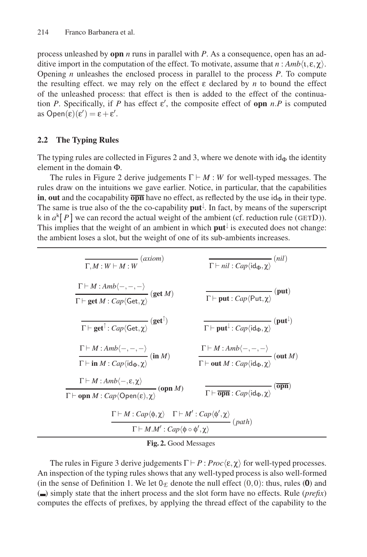process unleashed by **opn** *n* runs in parallel with *P*. As a consequence, open has an additive import in the computation of the effect. To motivate, assume that  $n : Amb\langle \iota, \varepsilon, \chi \rangle$ . Opening *n* unleashes the enclosed process in parallel to the process *P*. To compute the resulting effect. we may rely on the effect ε declared by *n* to bound the effect of the unleashed process: that effect is then is added to the effect of the continuation *P*. Specifically, if *P* has effect  $\varepsilon'$ , the composite effect of **opn** *n*.*P* is computed as  $Open(\varepsilon)(\varepsilon') = \varepsilon + \varepsilon'.$ 

#### **2.2 The Typing Rules**

The typing rules are collected in Figures 2 and 3, where we denote with  $\mathsf{id}_{\Phi}$  the identity element in the domain Φ.

The rules in Figure 2 derive judgements  $\Gamma \vdash M : W$  for well-typed messages. The rules draw on the intuitions we gave earlier. Notice, in particular, that the capabilities **in**, **out** and the cocapability  $\overline{opn}$  have no effect, as reflected by the use  $id_{\Phi}$  in their type. The same is true also of the the co-capability **put**<sup>↓</sup> . In fact, by means of the superscript k in  $a^k[P]$  we can record the actual weight of the ambient (cf. reduction rule (GETD)). This implies that the weight of an ambient in which **put**<sup>↓</sup> is executed does not change: the ambient loses a slot, but the weight of one of its sub-ambients increases.

| $\longrightarrow (axiom)$                                                                                                                                                                              | $ (nil)$                                                                                                                 |  |  |  |
|--------------------------------------------------------------------------------------------------------------------------------------------------------------------------------------------------------|--------------------------------------------------------------------------------------------------------------------------|--|--|--|
| $\Gamma, M: W \vdash M: W$                                                                                                                                                                             | $\Gamma \vdash nil : Cap\langle id_{\Phi}, \chi \rangle$                                                                 |  |  |  |
| $\frac{\Gamma \vdash M : Amb \langle -, -, - \rangle}{\Gamma \vdash \mathsf{get}\, M : \mathit{Cap} \langle \mathsf{Get}, \chi \rangle} \left( \mathsf{get}\, M \right)$                               | $\overline{\Gamma \vdash \textbf{put} : \textit{Cap} \langle \mathsf{Put}, \chi \rangle}$ (put)                          |  |  |  |
| $\overline{\Gamma \vdash \mathtt{get}^\uparrow : \mathit{Cap} \langle \mathsf{Get}, \chi \rangle} \; (\mathtt{get}^\uparrow)$                                                                          | $\overline{\Gamma \vdash \mathbf{put}^{\downarrow} : Cap \langle \mathsf{id}_{\Phi}, \chi \rangle}$ (put <sup>[1</sup> ) |  |  |  |
| $\frac{\Gamma \vdash M : Amb \langle -, -, - \rangle}{\Gamma \vdash M}$ (in M)                                                                                                                         | $\Gamma \vdash M : Amb\langle -, -, - \rangle$ (out M)                                                                   |  |  |  |
| $\Gamma \vdash \text{in } M : Cap \langle \text{id}_{\Phi}, \chi \rangle$                                                                                                                              | $\Gamma\vdash$ out $M:Cap\langle id_{\Phi}, \chi\rangle$                                                                 |  |  |  |
| $\Gamma\vdash M : Amb\langle -, \epsilon, \chi\rangle$                                                                                                                                                 | $\overline{opn})$                                                                                                        |  |  |  |
| $\overbrace{\Gamma \vdash \mathsf{opn}\, M : \mathit{Cap} \langle \mathsf{Open}(\epsilon), \chi \rangle}^{(1)} (\mathsf{opn}\, M)$                                                                     | $\overline{\Gamma \vdash \overline{\text{opn}} : \text{Cap}\langle \text{id}_{\Phi}, \chi \rangle}$                      |  |  |  |
| $\frac{\Gamma \vdash M : Cap \langle \phi, \chi \rangle \quad \Gamma \vdash M' : Cap \langle \phi', \chi \rangle}{\Gamma \vdash M.M' : Cap \langle \phi \circ \phi', \chi \rangle}$<br>$\equiv (path)$ |                                                                                                                          |  |  |  |

#### **Fig. 2.** Good Messages

The rules in Figure 3 derive judgements  $\Gamma \vdash P : \text{Proc} \langle \varepsilon, \chi \rangle$  for well-typed processes. An inspection of the typing rules shows that any well-typed process is also well-formed (in the sense of Definition 1. We let  $0<sub>F</sub>$  denote the null effect  $(0,0)$ : thus, rules **(0)** and ( ) simply state that the inhert process and the slot form have no effects. Rule (*prefix*) computes the effects of prefixes, by applying the thread effect of the capability to the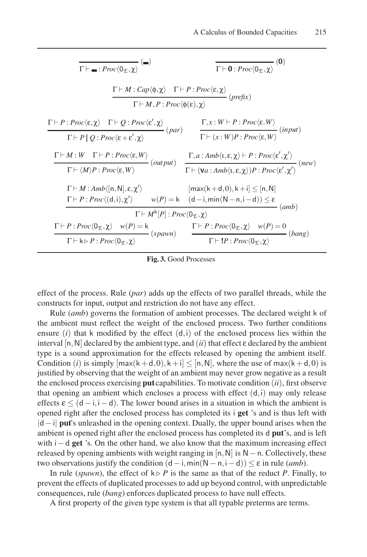| $\frac{\overline{\Gamma\vdash \blacksquare : \text{Proc}\langle 0_{\mathcal{T}}, \chi\rangle}}{\Gamma\vdash \blacksquare : \text{Proc}\langle 0_{\mathcal{T}}, \chi\rangle}$                                                                                                                                                                                                  | $\cdot$ (0)<br>$\frac{}{\Gamma \vdash \mathbf{0} : \text{Proc} \langle \mathbf{0}_\tau, \chi \rangle}$                                                                                                                                                                          |  |  |  |
|-------------------------------------------------------------------------------------------------------------------------------------------------------------------------------------------------------------------------------------------------------------------------------------------------------------------------------------------------------------------------------|---------------------------------------------------------------------------------------------------------------------------------------------------------------------------------------------------------------------------------------------------------------------------------|--|--|--|
| $\frac{\Gamma \vdash M : Cap \langle \phi, \chi \rangle \quad \Gamma \vdash P : Proc \langle \varepsilon, \chi \rangle}{\Gamma \vdash M . P : Proc \langle \phi(\varepsilon), \chi \rangle} \ (prefix)$                                                                                                                                                                       |                                                                                                                                                                                                                                                                                 |  |  |  |
| $\frac{\Gamma \vdash P : Proc\langle \varepsilon, \chi \rangle \quad \Gamma \vdash Q : Proc\langle \varepsilon', \chi \rangle}{\Gamma \vdash P \,   \, Q : Proc\langle \varepsilon + \varepsilon', \chi \rangle} \; (par) \qquad \frac{\Gamma, x : W \vdash P : Proc\langle \varepsilon, W \rangle}{\Gamma \vdash (x : W) P : Proc\langle \varepsilon, W \rangle} \; (input)$ |                                                                                                                                                                                                                                                                                 |  |  |  |
| $\Gamma \vdash M : W \quad \Gamma \vdash P : \text{Proc} \langle \varepsilon, W \rangle$                                                                                                                                                                                                                                                                                      | M: $W = \Gamma \vdash P : Proc \langle \varepsilon, W \rangle$<br>$\Gamma \vdash \langle M \rangle P : Proc \langle \varepsilon, W \rangle$ (out put) $\Gamma \vdash (va : Amb \langle 1, \varepsilon, \chi \rangle) \vdash P : Proc \langle \varepsilon', \chi' \rangle$ (new) |  |  |  |
| $\Gamma \vdash M : Amb\langle [n,N], \varepsilon, \chi'\rangle$<br>$\Gamma \vdash P : \text{Proc} \langle (d,i), \chi' \rangle$ $w(P) = k \quad (d-i, \min(N-n, i-d)) \le \varepsilon$ (amb)                                                                                                                                                                                  | $[\max(k+d,0), k+i] < [n,N]$                                                                                                                                                                                                                                                    |  |  |  |
| $\Gamma \vdash M^k[P] : Proc\langle 0_{\mathcal{F}}, \chi \rangle$                                                                                                                                                                                                                                                                                                            |                                                                                                                                                                                                                                                                                 |  |  |  |
| $\frac{\Gamma \vdash P : Proc\langle 0_{\mathcal{I}}, \chi \rangle \quad w(P) = k}{\Gamma \vdash k \rhd P : Proc\langle 0_{\mathcal{I}}, \chi \rangle} \quad (spam) \qquad \frac{\Gamma \vdash P : Proc\langle 0_{\mathcal{I}}, \chi \rangle \quad w(P) = 0}{\Gamma \vdash !P : Proc\langle 0_{\mathcal{I}}, \chi \rangle} \quad (bang)$                                      |                                                                                                                                                                                                                                                                                 |  |  |  |

**Fig. 3.** Good Processes

effect of the process. Rule (*par*) adds up the effects of two parallel threads, while the constructs for input, output and restriction do not have any effect.

Rule (*amb*) governs the formation of ambient processes. The declared weight k of the ambient must reflect the weight of the enclosed process. Two further conditions ensure  $(i)$  that k modified by the effect  $(d,i)$  of the enclosed process lies within the interval  $[n,N]$  declared by the ambient type, and  $(ii)$  that effect  $\varepsilon$  declared by the ambient type is a sound approximation for the effects released by opening the ambient itself. Condition (*i*) is simply  $[\max(k+d,0),k+i] \leq [n,N]$ , where the use of max( $k+d,0$ ) is justified by observing that the weight of an ambient may never grow negative as a result the enclosed process exercising **put**capabilities. To motivate condition (*ii*), first observe that opening an ambient which encloses a process with effect  $(d,i)$  may only release effects  $\epsilon < (d - i, i - d)$ . The lower bound arises in a situation in which the ambient is opened right after the enclosed process has completed its i **get** 's and is thus left with |d−i| **put**'s unleashed in the opening context. Dually, the upper bound arises when the ambient is opened right after the enclosed process has completed its d **put**'s, and is left with i−d **get** 's. On the other hand, we also know that the maximum increasing effect released by opening ambients with weight ranging in  $[n,N]$  is  $N-n$ . Collectively, these two observations justify the condition  $(d-i, min(N-n,i-d)) \leq \varepsilon$  in rule (*amb*).

In rule (*spawn*), the effect of  $k \triangleright P$  is the same as that of the reduct *P*. Finally, to prevent the effects of duplicated processes to add up beyond control, with unpredictable consequences, rule (*bang*) enforces duplicated process to have null effects.

A first property of the given type system is that all typable preterms are terms.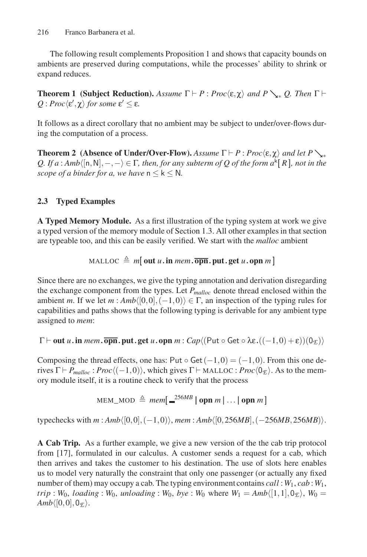The following result complements Proposition 1 and shows that capacity bounds on ambients are preserved during computations, while the processes' ability to shrink or expand reduces.

**Theorem 1 (Subject Reduction).** *Assume*  $\Gamma \vdash P : \text{Proc} \langle \varepsilon, \chi \rangle$  *and*  $P \searrow_* Q$ . *Then*  $\Gamma \vdash$  $Q: Proc\langle \varepsilon', \chi \rangle$  for some  $\varepsilon' \leq \varepsilon$ .

It follows as a direct corollary that no ambient may be subject to under/over-flows during the computation of a process.

**Theorem 2** (Absence of Under/Over-Flow). Assume  $\Gamma \vdash P : Proc\langle \varepsilon, \chi \rangle$  and let  $P \searrow_*$ *Q.* If a :  $Amb([n,N], -, -) \in \Gamma$ , then, for any subterm of Q of the form  $a^k[R]$ , not in the *scope of a binder for a, we have*  $n \leq k \leq N$ .

## **2.3 Typed Examples**

**A Typed Memory Module.** As a first illustration of the typing system at work we give a typed version of the memory module of Section 1.3. All other examples in that section are typeable too, and this can be easily verified. We start with the *malloc* ambient

 $MALLOC \triangleq m$ [ **out** *u*. **in**  $mem \cdot \overline{opn}$ . **put**. **get** *u*. **opn** *m*]

Since there are no exchanges, we give the typing annotation and derivation disregarding the exchange component from the types. Let *Pmalloc* denote thread enclosed within the ambient *m*. If we let  $m : Amb(0,0], (-1,0) \in \Gamma$ , an inspection of the typing rules for capabilities and paths shows that the following typing is derivable for any ambient type assigned to *mem*:

 $Γ ⊢ out *u*. in *mem*. **opn**. put.get *u*. **opn** *m* : *Cap*langle (Put ∘ Get ∘ λε.((−1,0) + ε))(0<sup>F</sup>))$ 

Composing the thread effects, one has: Put  $\circ$  Get( $-1,0)$ ) = (-1,0). From this one derives  $\Gamma \vdash P_{malloc} : Proc \langle (-1,0) \rangle$ , which gives  $\Gamma \vdash \text{MALLOC} : Proc \langle 0_{\mathcal{I}} \rangle$ . As to the memory module itself, it is a routine check to verify that the process

 $MEM \text{ MOD} \triangleq mem[\square^{256MB} | \text{opn } m | \dots | \text{opn } m]$ 

typechecks with  $m : Amb([0,0],(-1,0)),$  *mem* :  $Amb([0,256MB],(-256MB,256MB)).$ 

**A Cab Trip.** As a further example, we give a new version of the the cab trip protocol from [17], formulated in our calculus. A customer sends a request for a cab, which then arrives and takes the customer to his destination. The use of slots here enables us to model very naturally the constraint that only one passenger (or actually any fixed number of them) may occupy a cab. The typing environment contains *call* :*W*1, *cab* :*W*1, *trip* : *W*<sub>0</sub>, *loading* : *W*<sub>0</sub>, *unloading* : *W*<sub>0</sub>, *bye* : *W*<sub>0</sub> where *W*<sub>1</sub> = *Amb* $\langle [1,1], 0_{\mathcal{F}} \rangle$ , *W*<sub>0</sub> =  $Amb([0,0],0)$ .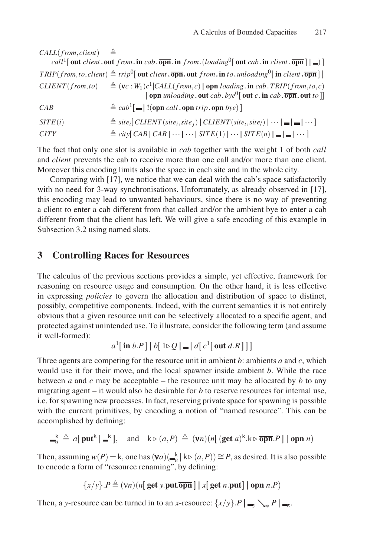| $CALL(from, client) \triangleq$ |                                                                                                                                                                                                                                             |
|---------------------------------|---------------------------------------------------------------------------------------------------------------------------------------------------------------------------------------------------------------------------------------------|
|                                 | call <sup>1</sup> [ out client out from in cab $\overline{opn}$ in from (loading <sup>0</sup> [ out cab in client $\overline{opn}$ ] $  \_ )$ ]                                                                                             |
|                                 | $TRIP(from, to, client) \triangleq trip^0[$ out client. $\overline{opn}$ . out from. in to unloading <sup>0</sup> [in client. $\overline{opn}[]$ ]                                                                                          |
|                                 | CLIENT (from, to) $\triangleq$ $(\mathbf{v}_c : W_1)c^1[CALL(from, c)]$ opn loading in cab. TRIP(from, to, c)<br>  opn <i>unloading</i> . out <i>cab.bye</i> <sup>0</sup>   out <i>c</i> . in <i>cab</i> . $\overline{opn}$ . out <i>to</i> |
| CAB                             | $\triangleq cab^1$ [ =   !(opn <i>call</i> opn <i>trip</i> opn <i>bye</i> )]                                                                                                                                                                |
| SITE(i)                         | $\triangleq site_i[CLIENT(site_i, site_j)   CLIENT(site_i, site_l)   \cdots   \equiv   \equiv   \cdots ]$                                                                                                                                   |
| CITY                            | $\triangleq$ city[CAB   CAB   ···   ···   SITE(1)   ···   SITE(n)   -   -   -·· ]                                                                                                                                                           |

The fact that only one slot is available in *cab* together with the weight 1 of both *call* and *client* prevents the cab to receive more than one call and/or more than one client. Moreover this encoding limits also the space in each site and in the whole city.

Comparing with [17], we notice that we can deal with the cab's space satisfactorily with no need for 3-way synchronisations. Unfortunately, as already observed in [17], this encoding may lead to unwanted behaviours, since there is no way of preventing a client to enter a cab different from that called and/or the ambient bye to enter a cab different from that the client has left. We will give a safe encoding of this example in Subsection 3.2 using named slots.

### **3 Controlling Races for Resources**

The calculus of the previous sections provides a simple, yet effective, framework for reasoning on resource usage and consumption. On the other hand, it is less effective in expressing *policies* to govern the allocation and distribution of space to distinct, possibly, competitive components. Indeed, with the current semantics it is not entirely obvious that a given resource unit can be selectively allocated to a specific agent, and protected against unintended use. To illustrate, consider the following term (and assume it well-formed):

$$
a^1[\text{ in } b.P] | b[1\triangleright Q] = | d[c^1[\text{ out } d.R]]]
$$

Three agents are competing for the resource unit in ambient *b*: ambients *a* and *c*, which would use it for their move, and the local spawner inside ambient *b*. While the race between *a* and *c* may be acceptable – the resource unit may be allocated by *b* to any migrating agent – it would also be desirable for *b* to reserve resources for internal use, i.e. for spawning new processes. In fact, reserving private space for spawning is possible with the current primitives, by encoding a notion of "named resource". This can be accomplished by defining:

$$
\mathbf{u}_a^k \triangleq a[\,\mathbf{put}^k \,|\, \mathbf{u}^k], \quad \text{and} \quad k \triangleright (a, P) \triangleq (\mathbf{v}_n)(n[(\mathbf{get}\,a)^k \cdot k \triangleright \overline{\mathbf{opn}}.P] \mid \mathbf{opn}\,n)
$$

Then, assuming  $w(P) = k$ , one has  $(\forall a)(\equiv_a^k | k \triangleright (a, P)) \cong P$ , as desired. It is also possible to encode a form of "resource renaming", by defining:

$$
\{x/y\}.P \triangleq (vn)(n[get y.put\overline{opn}] | x[get n.put] | opn n.P)
$$

Then, a *y*-resource can be turned in to an *x*-resource:  $\{x/y\}$ . $P \mid_{\equiv y} \searrow_{*} P \mid_{\equiv x}$ .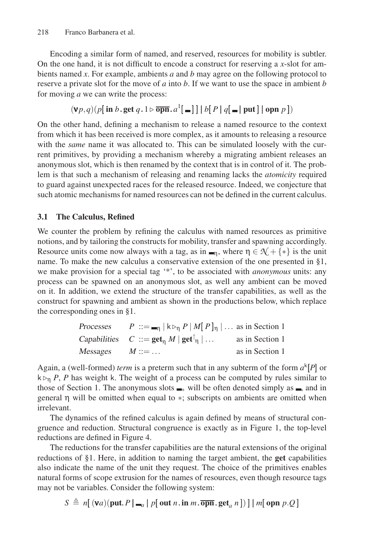Encoding a similar form of named, and reserved, resources for mobility is subtler. On the one hand, it is not difficult to encode a construct for reserving a *x*-slot for ambients named *x*. For example, ambients *a* and *b* may agree on the following protocol to reserve a private slot for the move of *a* into *b*. If we want to use the space in ambient *b* for moving *a* we can write the process:

$$
(\mathbf{v} \cdot p, q) \cdot (p \mathbf{[} \text{ in } b \text{.} \text{ get } q \text{.} 1 \triangleright \overline{\text{opn}} \text{.} a^1 \mathbf{[} = ] ] | b [ P | q \mathbf{[} = ] \text{put} ] | \text{opn } p ] )
$$

On the other hand, defining a mechanism to release a named resource to the context from which it has been received is more complex, as it amounts to releasing a resource with the *same* name it was allocated to. This can be simulated loosely with the current primitives, by providing a mechanism whereby a migrating ambient releases an anonymous slot, which is then renamed by the context that is in control of it. The problem is that such a mechanism of releasing and renaming lacks the *atomicity* required to guard against unexpected races for the released resource. Indeed, we conjecture that such atomic mechanisms for named resources can not be defined in the current calculus.

### **3.1 The Calculus, Refined**

We counter the problem by refining the calculus with named resources as primitive notions, and by tailoring the constructs for mobility, transfer and spawning accordingly. Resource units come now always with a tag, as in  $\mathbf{m}$ , where  $\eta \in \mathcal{N} + \{*\}$  is the unit name. To make the new calculus a conservative extension of the one presented in §1, we make provision for a special tag '\*', to be associated with *anonymous* units: any process can be spawned on an anonymous slot, as well any ambient can be moved on it. In addition, we extend the structure of the transfer capabilities, as well as the construct for spawning and ambient as shown in the productions below, which replace the corresponding ones in §1.

| Processes       | $P ::= \blacksquare_n   k \triangleright_n P   M   P  _n   \ldots$ as in Section 1 |                 |
|-----------------|------------------------------------------------------------------------------------|-----------------|
|                 | Capabilities $C ::= \text{get}_{n} M \mid \text{get}^{\uparrow} \mid $             | as in Section 1 |
| <i>Messages</i> | $M ::= \dots$                                                                      | as in Section 1 |

Again, a (well-formed) *term* is a preterm such that in any subterm of the form *a*<sup>k</sup> [*P*] or  $k \triangleright_{\eta} P$ , *P* has weight k. The weight of a process can be computed by rules similar to those of Section 1. The anonymous slots  $\blacksquare$  will be often denoted simply as  $\blacksquare$ , and in general η will be omitted when equal to ∗; subscripts on ambients are omitted when irrelevant.

The dynamics of the refined calculus is again defined by means of structural congruence and reduction. Structural congruence is exactly as in Figure 1, the top-level reductions are defined in Figure 4.

The reductions for the transfer capabilities are the natural extensions of the original reductions of §1. Here, in addition to naming the target ambient, the **get** capabilities also indicate the name of the unit they request. The choice of the primitives enables natural forms of scope extrusion for the names of resources, even though resource tags may not be variables. Consider the following system:

 $S \triangleq n[(\mathbf{v}a)(\mathbf{put}.P\mathbf{I})_{-a} | p[\mathbf{out} n.\mathbf{in} m.\overline{\mathbf{opn}}.\mathbf{get}_a n])] | m[\mathbf{opn} p.Q]$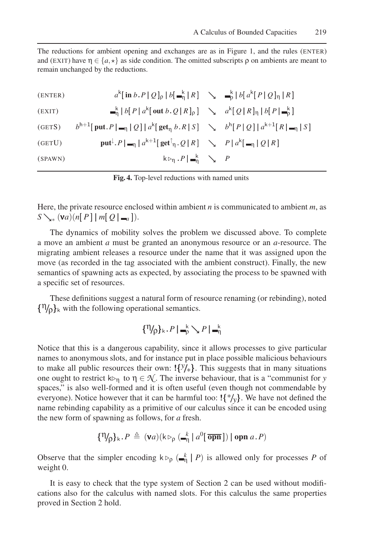The reductions for ambient opening and exchanges are as in Figure 1, and the rules (ENTER) and (EXIT) have  $\eta \in \{a, \star\}$  as side condition. The omitted subscripts  $\rho$  on ambients are meant to remain unchanged by the reductions.

| (ENTER) | $a^{k}$ [in b. P   Q   $b$   $b$ [ $\equiv n \mid R$ ] $\searrow \equiv b \mid b \mid a^{k}$ [ P   Q   $n \mid R$ ]                                                 |  |
|---------|---------------------------------------------------------------------------------------------------------------------------------------------------------------------|--|
| (EXIT)  | $\mathbb{E}_{n} \left[ b[P] a^{k} [\text{out } b. Q   R]_{\rho} \right] \longrightarrow a^{k} [Q   R]_{\eta} [b[P]_{\phi}]$                                         |  |
| (GETS)  | $b^{h+1}[{\text{put.}} p] = n  Q   a^k[{\text{get}}_n b.R S]$ $\downarrow$ $b^h[P Q] a^{k+1}[R  = n  S]$                                                            |  |
| (GETU)  | $\text{put}^{\downarrow} P \mid \text{=} n \mid a^{k+1} [\text{get}^{\uparrow} n \cdot Q \mid R] \quad \searrow \quad P \mid a^{k} [\mid \text{=} n \mid Q \mid R]$ |  |
| (SPAWN) | $k\triangleright_{n} P\vert_{\equiv_{n}^{k}} \searrow P$                                                                                                            |  |

**Fig. 4.** Top-level reductions with named units

Here, the private resource enclosed within ambient *n* is communicated to ambient *m*, as  $S \searrow_* (\mathbf{v}a)(n[P] | m[Q]_{\mathbf{a}}).$ 

The dynamics of mobility solves the problem we discussed above. To complete a move an ambient *a* must be granted an anonymous resource or an *a*-resource. The migrating ambient releases a resource under the name that it was assigned upon the move (as recorded in the tag associated with the ambient construct). Finally, the new semantics of spawning acts as expected, by associating the process to be spawned with a specific set of resources.

These definitions suggest a natural form of resource renaming (or rebinding), noted  $\{\eta_{\rho}\}_{k}$  with the following operational semantics.

$$
\{\eta_{\rho}\}_{k} P \,|\, {\scriptstyle -\frac{k}{\rho}} \searrow P \,|\, {\scriptstyle -\frac{k}{\eta}}
$$

Notice that this is a dangerous capability, since it allows processes to give particular names to anonymous slots, and for instance put in place possible malicious behaviours to make all public resources their own:  $!{\{\hat{y}}_k\}$ . This suggests that in many situations one ought to restrict  $k_{\text{th}}$  to  $\eta \in \mathcal{N}$ . The inverse behaviour, that is a "communist for *y* spaces," is also well-formed and it is often useful (even though not commendable by everyone). Notice however that it can be harmful too:  $\{\frac{\psi}{\psi}\}$ . We have not defined the name rebinding capability as a primitive of our calculus since it can be encoded using the new form of spawning as follows, for *a* fresh.

$$
\{\eta_{\boldsymbol{\rho}}\}_k.\textit{P} \,\triangleq\, (\textbf{v}a)(k\triangleright_{\boldsymbol{\rho}}\, (\textcolor{red}{\bar{\textbf{-}}}^k_\eta \,|\, a^0 [\,\overline{\textbf{opn}}\,]) \,|\, \textbf{opn}\, a.\textit{P})
$$

Observe that the simpler encoding  $k \triangleright_{\rho} (\equiv^k_{\eta} | P)$  is allowed only for processes *P* of weight 0.

It is easy to check that the type system of Section 2 can be used without modifications also for the calculus with named slots. For this calculus the same properties proved in Section 2 hold.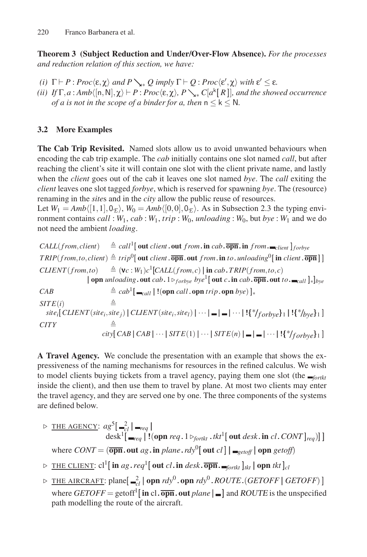**Theorem 3 (Subject Reduction and Under/Over-Flow Absence).** *For the processes and reduction relation of this section, we have:*

- $(i)$   $\Gamma \vdash P : \text{Proc} \langle \varepsilon, \chi \rangle \text{ and } P \searrow_* Q \text{ imply } \Gamma \vdash Q : \text{Proc} \langle \varepsilon', \chi \rangle \text{ with } \varepsilon' \leq \varepsilon.$
- *(ii)* If  $\Gamma$ , *a* : *Amb* $\langle [n, N], \chi \rangle \vdash P$  :  $Proc \langle \varepsilon, \chi \rangle$ ,  $P \searrow_c [a^k[R]]$ , and the showed occurrence *of a is not in the scope of a binder for a, then*  $n \leq k \leq N$ .

### **3.2 More Examples**

**The Cab Trip Revisited.** Named slots allow us to avoid unwanted behaviours when encoding the cab trip example. The *cab* initially contains one slot named *call*, but after reaching the client's site it will contain one slot with the client private name, and lastly when the *client* goes out of the cab it leaves one slot named *bye*. The *call* exiting the *client* leaves one slot tagged *forbye*, which is reserved for spawning *bye*. The (resource) renaming in the *site*s and in the *city* allow the public reuse of resources.

Let  $W_1 = Amb([1,1],0_E)$ ,  $W_0 = Amb([0,0],0_E)$ . As in Subsection 2.3 the typing environment contains *call* : *W*1, *cab* : *W*1, *trip* : *W*0, *unloading* : *W*0, but *bye* : *W*<sup>1</sup> and we do not need the ambient *loading*.

 $CALL(from, client) \triangleq call[\textbf{out client}.\textbf{out from.in cab.}\overline{\textbf{opn}}.\textbf{in from.}\textbf{=}_{client}]\text{forbye}$  $TRIP(from, to, client) \triangleq trip^0[$  **out** *client* **.**  $\overline{opn}$ **. out**  $from \textbf{.}$  **in**  $to \textbf{.}$  *unloading*<sup>0</sup>[ **in** *client* **.**  $\overline{opn}[]$ ]  $CLIENT(from, to) \cong (Vc : W_1)c^1[CALL(from, c)]$  in *cab*. *TRIP*(*from*,*to*,*c*)  $|$  **opn** *unloading*. **out** *cab*.  $1 \triangleright_{forbye} bye^1[$  **out** *c*. **in** *cab*.  $\overline{opn}$ . **out** *to*.  $\blacksquare_{call}$  ]∗]*bye*  $CAB$   $\triangleq cab^{1}[\equiv_{call} |!(\text{opn} call.\text{opn} trip.\text{opn} bye)]_{*}$  $SITE(i)$   $\triangleq$  $\text{size}_{i}[\text{CLIENT}(\text{site}_{i}, \text{site}_{j}) | \text{CLIENT}(\text{site}_{i}, \text{site}_{l}) | \cdots | = | - | \cdots | !\{\text{*/}f_{orbye}\}_{1} | !\{\text{*/}f_{bye}\}_{1}]$ *CITY*  $city[$  *CAB*  $|$  *CAB*  $| \cdots |$  *SITE*(1)  $| \cdots |$  *SITE*(*n*)  $| \blacksquare | \blacksquare | \cdots |$   $! \{^*/\text{forbye}}\_1$ 

**A Travel Agency.** We conclude the presentation with an example that shows the expressiveness of the naming mechanisms for resources in the refined calculus. We wish to model clients buying tickets from a travel agency, paying them one slot (the  $\frac{1}{\epsilon_0}$ inside the client), and then use them to travel by plane. At most two clients may enter the travel agency, and they are served one by one. The three components of the systems are defined below.

- $\triangleright$  <u>THE AGENCY</u>:  $ag^5\left[\frac{2}{-cl}\right]\equiv_{req}$  $\text{desk}^1\big[\text{---}\text{Proj} \, \text{l}$  (opn  $\text{req.} 1 \triangleright_{\text{fork}t}$  .  $\text{tkt}^1\big[\text{ out } \text{dest. in } \text{cl. }\text{CONT}]_{\text{req}}\big]\big]$ where  $CONT = (\overline{\text{opn}}.\text{ out }ag.\text{ in plane.}$   $rdy^0[\text{ out } cl]|_{\text{gen}}$  | opn  $\text{getoff}|$
- $\triangleright$  <u>THE CLIENT</u>: <code>cl<sup>1</sup>[ **in**  $ag$ .  $req^1$ [ <code>out</code>  $cl$ . <code>in</code>  $desk$ .  $\overline{\mathbf{opn}}$ .  $\underbrace{\mathbf{f}_{orbit}}_{first}$   $]_{tkt}$  |  $\mathbf{opn}$   $tkt$   $]_{cl}$ </code>
- $\triangleright$  <u>THE AIRCRAFT</u>: plane[ $\frac{2}{c\ell}$ ] **opn** *rdy*<sup>0</sup>. **opn** *rdy*<sup>0</sup>. *ROUTE*.(*GETOFF*|*GETOFF*)] where  $GETOFF = getoff^1$  [in cl.  $\overline{opn}$ . out *plane*  $\vert \underline{\hspace{1em}} \vert$  and *ROUTE* is the unspecified path modelling the route of the aircraft.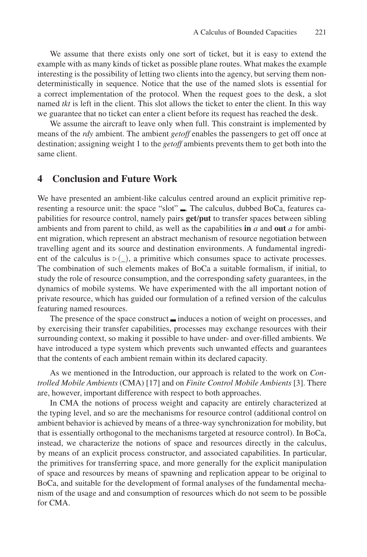We assume that there exists only one sort of ticket, but it is easy to extend the example with as many kinds of ticket as possible plane routes. What makes the example interesting is the possibility of letting two clients into the agency, but serving them nondeterministically in sequence. Notice that the use of the named slots is essential for a correct implementation of the protocol. When the request goes to the desk, a slot named *tkt* is left in the client. This slot allows the ticket to enter the client. In this way we guarantee that no ticket can enter a client before its request has reached the desk.

We assume the aircraft to leave only when full. This constraint is implemented by means of the *rdy* ambient. The ambient *getoff* enables the passengers to get off once at destination; assigning weight 1 to the *getoff* ambients prevents them to get both into the same client.

### **4 Conclusion and Future Work**

We have presented an ambient-like calculus centred around an explicit primitive representing a resource unit: the space "slot" ... The calculus, dubbed BoCa, features capabilities for resource control, namely pairs **get**/**put** to transfer spaces between sibling ambients and from parent to child, as well as the capabilities **in** *a* and **out** *a* for ambient migration, which represent an abstract mechanism of resource negotiation between travelling agent and its source and destination environments. A fundamental ingredient of the calculus is  $\rho(\_)$ , a primitive which consumes space to activate processes. The combination of such elements makes of BoCa a suitable formalism, if initial, to study the role of resource consumption, and the corresponding safety guarantees, in the dynamics of mobile systems. We have experimented with the all important notion of private resource, which has guided our formulation of a refined version of the calculus featuring named resources.

The presence of the space construct  $\equiv$  induces a notion of weight on processes, and by exercising their transfer capabilities, processes may exchange resources with their surrounding context, so making it possible to have under- and over-filled ambients. We have introduced a type system which prevents such unwanted effects and guarantees that the contents of each ambient remain within its declared capacity.

As we mentioned in the Introduction, our approach is related to the work on *Controlled Mobile Ambients* (CMA) [17] and on *Finite Control Mobile Ambients* [3]. There are, however, important difference with respect to both approaches.

In CMA the notions of process weight and capacity are entirely characterized at the typing level, and so are the mechanisms for resource control (additional control on ambient behavior is achieved by means of a three-way synchronization for mobility, but that is essentially orthogonal to the mechanisms targeted at resource control). In BoCa, instead, we characterize the notions of space and resources directly in the calculus, by means of an explicit process constructor, and associated capabilities. In particular, the primitives for transferring space, and more generally for the explicit manipulation of space and resources by means of spawning and replication appear to be original to BoCa, and suitable for the development of formal analyses of the fundamental mechanism of the usage and and consumption of resources which do not seem to be possible for CMA.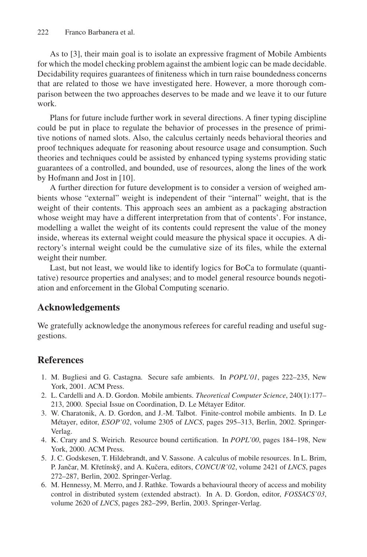As to [3], their main goal is to isolate an expressive fragment of Mobile Ambients for which the model checking problem against the ambient logic can be made decidable. Decidability requires guarantees of finiteness which in turn raise boundedness concerns that are related to those we have investigated here. However, a more thorough comparison between the two approaches deserves to be made and we leave it to our future work.

Plans for future include further work in several directions. A finer typing discipline could be put in place to regulate the behavior of processes in the presence of primitive notions of named slots. Also, the calculus certainly needs behavioral theories and proof techniques adequate for reasoning about resource usage and consumption. Such theories and techniques could be assisted by enhanced typing systems providing static guarantees of a controlled, and bounded, use of resources, along the lines of the work by Hofmann and Jost in [10].

A further direction for future development is to consider a version of weighed ambients whose "external" weight is independent of their "internal" weight, that is the weight of their contents. This approach sees an ambient as a packaging abstraction whose weight may have a different interpretation from that of contents'. For instance, modelling a wallet the weight of its contents could represent the value of the money inside, whereas its external weight could measure the physical space it occupies. A directory's internal weight could be the cumulative size of its files, while the external weight their number.

Last, but not least, we would like to identify logics for BoCa to formulate (quantitative) resource properties and analyses; and to model general resource bounds negotiation and enforcement in the Global Computing scenario.

## **Acknowledgements**

We gratefully acknowledge the anonymous referees for careful reading and useful suggestions.

# **References**

- 1. M. Bugliesi and G. Castagna. Secure safe ambients. In *POPL'01*, pages 222–235, New York, 2001. ACM Press.
- 2. L. Cardelli and A. D. Gordon. Mobile ambients. *Theoretical Computer Science*, 240(1):177– 213, 2000. Special Issue on Coordination, D. Le Métayer Editor.
- 3. W. Charatonik, A. D. Gordon, and J.-M. Talbot. Finite-control mobile ambients. In D. Le Métayer, editor, *ESOP'02*, volume 2305 of *LNCS*, pages 295–313, Berlin, 2002. Springer-Verlag.
- 4. K. Crary and S. Weirich. Resource bound certification. In *POPL'00*, pages 184–198, New York, 2000. ACM Press.
- 5. J. C. Godskesen, T. Hildebrandt, and V. Sassone. A calculus of mobile resources. In L. Brim, P. Jančar, M. Křetínský, and A. Kučera, editors, *CONCUR'02*, volume 2421 of *LNCS*, pages 272–287, Berlin, 2002. Springer-Verlag.
- 6. M. Hennessy, M. Merro, and J. Rathke. Towards a behavioural theory of access and mobility control in distributed system (extended abstract). In A. D. Gordon, editor, *FOSSACS'03*, volume 2620 of *LNCS*, pages 282–299, Berlin, 2003. Springer-Verlag.